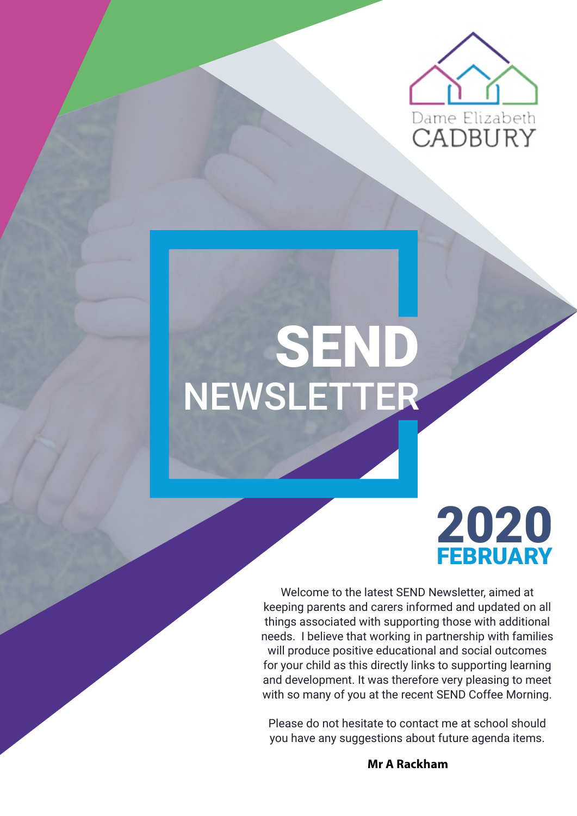

# NEWSLETTER SEND



Welcome to the latest SEND Newsletter, aimed at keeping parents and carers informed and updated on all things associated with supporting those with additional needs. I believe that working in partnership with families will produce positive educational and social outcomes for your child as this directly links to supporting learning and development. It was therefore very pleasing to meet with so many of you at the recent SEND Coffee Morning.

Please do not hesitate to contact me at school should you have any suggestions about future agenda items.

**Mr A Rackham**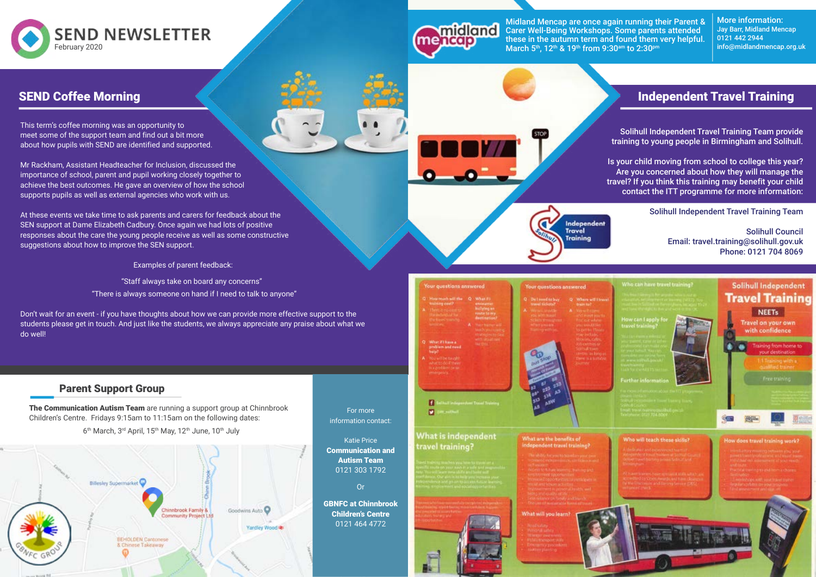

#### Parent Support Group

This term's coffee morning was an opportunity to meet some of the support team and find out a bit more about how pupils with SEND are identified and supported.

Mr Rackham, Assistant Headteacher for Inclusion, discussed the importance of school, parent and pupil working closely together to achieve the best outcomes. He gave an overview of how the school supports pupils as well as external agencies who work with us.

At these events we take time to ask parents and carers for feedback about the SEN support at Dame Elizabeth Cadbury. Once again we had lots of positive responses about the care the young people receive as well as some constructive suggestions about how to improve the SEN support.

The Communication Autism Team are running a support group at Chinnbrook Children's Centre. Fridays 9:15am to 11:15am on the following dates:

6<sup>th</sup> March, 3<sup>rd</sup> April, 15<sup>th</sup> May, 12<sup>th</sup> June, 10<sup>th</sup> July



Examples of parent feedback:

"Staff always take on board any concerns" "There is always someone on hand if I need to talk to anyone"

Midland Mencap are once again running their Parent & Carer Well-Being Workshops. Some parents attended these in the autumn term and found them very helpful. March 5<sup>th</sup>, 12<sup>th</sup> & 19<sup>th</sup> from 9:30<sup>am</sup> to 2:30<sup>pm</sup>

Don't wait for an event - if you have thoughts about how we can provide more effective support to the students please get in touch. And just like the students, we always appreciate any praise about what we do well!

> For more information contact:

Katie Price Communication and Autism Team 0121 303 1792

Or

GBNFC at Chinnbrook Children's Centre 0121 464 4772

four questions answered

idland

 $\mathbf n$  $\overline{a}$ 

 $P_n \approx \frac{P_n}{P_n}$ 

Independent<br>Travel Training

What are the benefits of

endent travel trainin

Your questions answered

#### What is independent travel training?





#### SEND Coffee Morning

### Independent Travel Training

Solihull Independent Travel Training Team provide training to young people in Birmingham and Solihull.

Is your child moving from school to college this year? Are you concerned about how they will manage the travel? If you think this training may benefit your child contact the ITT programme for more information:

#### Solihull Independent Travel Training Team

Solihull Council Email: travel.training@solihull.gov.uk Phone: 0121 704 8069



More information: Jay Barr, Midland Mencap 0121 442 2944 info@midlandmencap.org.uk